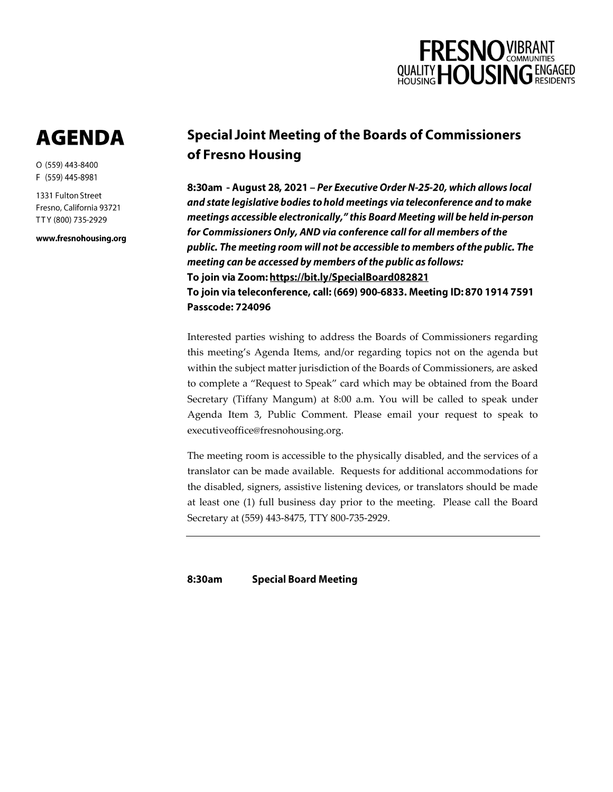

## **AGENDA**

O (559) 443-8400 F (559) 445-8981

1331 Fulton Street Fresno, California 93721 TTY (800) 735-2929

www.fresnohousing.org

## **Special Joint Meeting of the Boards of Commissioners** of Fresno Housing

8:30am - August 28, 2021 - Per Executive Order N-25-20, which allows local and state legislative bodies to hold meetings via teleconference and to make meetings accessible electronically," this Board Meeting will be held in-person for Commissioners Only, AND via conference call for all members of the public. The meeting room will not be accessible to members of the public. The meeting can be accessed by members of the public as follows: To join via Zoom: https://bit.ly/SpecialBoard082821 To join via teleconference, call: (669) 900-6833. Meeting ID: 870 1914 7591 **Passcode: 724096** 

Interested parties wishing to address the Boards of Commissioners regarding this meeting's Agenda Items, and/or regarding topics not on the agenda but within the subject matter jurisdiction of the Boards of Commissioners, are asked to complete a "Request to Speak" card which may be obtained from the Board Secretary (Tiffany Mangum) at 8:00 a.m. You will be called to speak under Agenda Item 3, Public Comment. Please email your request to speak to executiveoffice@fresnohousing.org.

The meeting room is accessible to the physically disabled, and the services of a translator can be made available. Requests for additional accommodations for the disabled, signers, assistive listening devices, or translators should be made at least one (1) full business day prior to the meeting. Please call the Board Secretary at (559) 443-8475, TTY 800-735-2929.

8:30am **Special Board Meeting**